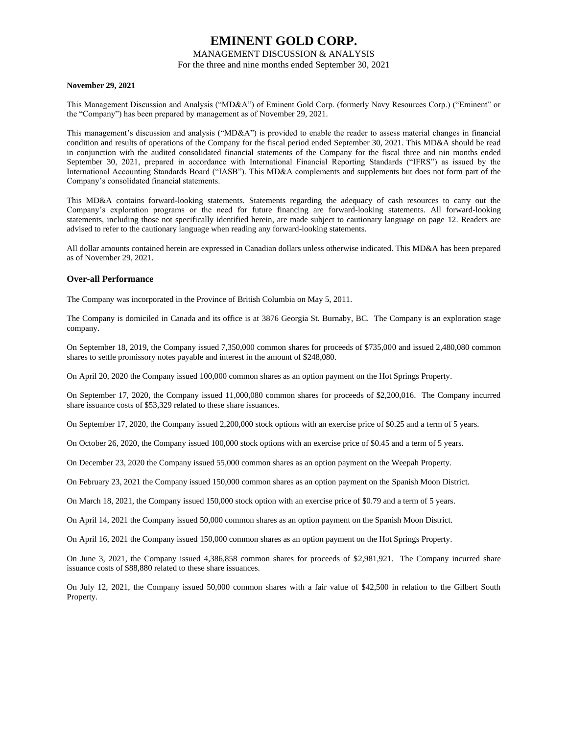## MANAGEMENT DISCUSSION & ANALYSIS

For the three and nine months ended September 30, 2021

### **November 29, 2021**

This Management Discussion and Analysis ("MD&A") of Eminent Gold Corp. (formerly Navy Resources Corp.) ("Eminent" or the "Company") has been prepared by management as of November 29, 2021.

This management's discussion and analysis ("MD&A") is provided to enable the reader to assess material changes in financial condition and results of operations of the Company for the fiscal period ended September 30, 2021. This MD&A should be read in conjunction with the audited consolidated financial statements of the Company for the fiscal three and nin months ended September 30, 2021, prepared in accordance with International Financial Reporting Standards ("IFRS") as issued by the International Accounting Standards Board ("IASB"). This MD&A complements and supplements but does not form part of the Company's consolidated financial statements.

This MD&A contains forward-looking statements. Statements regarding the adequacy of cash resources to carry out the Company's exploration programs or the need for future financing are forward-looking statements. All forward-looking statements, including those not specifically identified herein, are made subject to cautionary language on page 12. Readers are advised to refer to the cautionary language when reading any forward-looking statements.

All dollar amounts contained herein are expressed in Canadian dollars unless otherwise indicated. This MD&A has been prepared as of November 29, 2021.

## **Over-all Performance**

The Company was incorporated in the Province of British Columbia on May 5, 2011.

The Company is domiciled in Canada and its office is at 3876 Georgia St. Burnaby, BC. The Company is an exploration stage company.

On September 18, 2019, the Company issued 7,350,000 common shares for proceeds of \$735,000 and issued 2,480,080 common shares to settle promissory notes payable and interest in the amount of \$248,080.

On April 20, 2020 the Company issued 100,000 common shares as an option payment on the Hot Springs Property.

On September 17, 2020, the Company issued 11,000,080 common shares for proceeds of \$2,200,016. The Company incurred share issuance costs of \$53,329 related to these share issuances.

On September 17, 2020, the Company issued 2,200,000 stock options with an exercise price of \$0.25 and a term of 5 years.

On October 26, 2020, the Company issued 100,000 stock options with an exercise price of \$0.45 and a term of 5 years.

On December 23, 2020 the Company issued 55,000 common shares as an option payment on the Weepah Property.

On February 23, 2021 the Company issued 150,000 common shares as an option payment on the Spanish Moon District.

On March 18, 2021, the Company issued 150,000 stock option with an exercise price of \$0.79 and a term of 5 years.

On April 14, 2021 the Company issued 50,000 common shares as an option payment on the Spanish Moon District.

On April 16, 2021 the Company issued 150,000 common shares as an option payment on the Hot Springs Property.

On June 3, 2021, the Company issued 4,386,858 common shares for proceeds of \$2,981,921. The Company incurred share issuance costs of \$88,880 related to these share issuances.

On July 12, 2021, the Company issued 50,000 common shares with a fair value of \$42,500 in relation to the Gilbert South Property.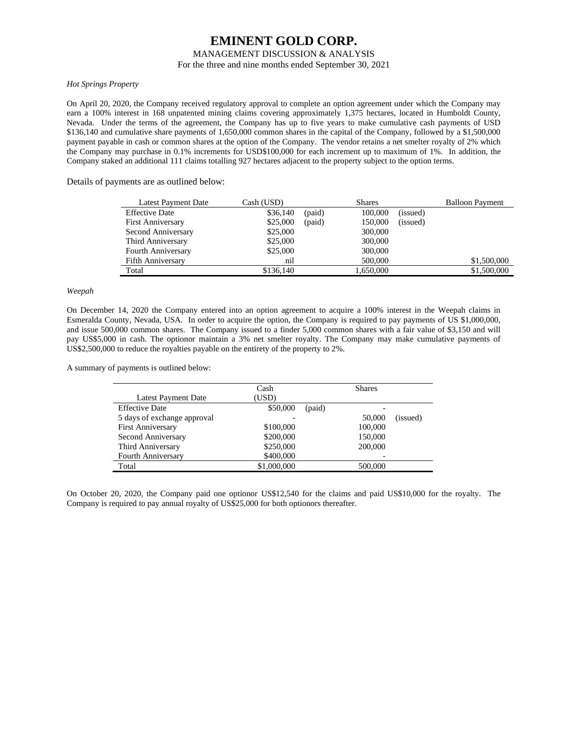## MANAGEMENT DISCUSSION & ANALYSIS

For the three and nine months ended September 30, 2021

### *Hot Springs Property*

On April 20, 2020, the Company received regulatory approval to complete an option agreement under which the Company may earn a 100% interest in 168 unpatented mining claims covering approximately 1,375 hectares, located in Humboldt County, Nevada. Under the terms of the agreement, the Company has up to five years to make cumulative cash payments of USD \$136,140 and cumulative share payments of 1,650,000 common shares in the capital of the Company, followed by a \$1,500,000 payment payable in cash or common shares at the option of the Company. The vendor retains a net smelter royalty of 2% which the Company may purchase in 0.1% increments for USD\$100,000 for each increment up to maximum of 1%. In addition, the Company staked an additional 111 claims totalling 927 hectares adjacent to the property subject to the option terms.

Details of payments are as outlined below:

| Latest Payment Date      | Cash (USD) |        | <b>Shares</b> |          | <b>Balloon Payment</b> |
|--------------------------|------------|--------|---------------|----------|------------------------|
| <b>Effective Date</b>    | \$36,140   | (paid) | 100,000       | (issued) |                        |
| <b>First Anniversary</b> | \$25,000   | (paid) | 150,000       | (issued) |                        |
| Second Anniversary       | \$25,000   |        | 300,000       |          |                        |
| Third Anniversary        | \$25,000   |        | 300,000       |          |                        |
| Fourth Anniversary       | \$25,000   |        | 300,000       |          |                        |
| <b>Fifth Anniversary</b> | nil        |        | 500,000       |          | \$1,500,000            |
| Total                    | \$136,140  |        | 1,650,000     |          | \$1,500,000            |

## *Weepah*

On December 14, 2020 the Company entered into an option agreement to acquire a 100% interest in the Weepah claims in Esmeralda County, Nevada, USA. In order to acquire the option, the Company is required to pay payments of US \$1,000,000, and issue 500,000 common shares. The Company issued to a finder 5,000 common shares with a fair value of \$3,150 and will pay US\$5,000 in cash. The optionor maintain a 3% net smelter royalty. The Company may make cumulative payments of US\$2,500,000 to reduce the royalties payable on the entirety of the property to 2%.

A summary of payments is outlined below:

|                             | Cash        |        | <b>Shares</b> |          |
|-----------------------------|-------------|--------|---------------|----------|
| Latest Payment Date         | (USD)       |        |               |          |
| <b>Effective Date</b>       | \$50,000    | (paid) |               |          |
| 5 days of exchange approval |             |        | 50,000        | (issued) |
| <b>First Anniversary</b>    | \$100,000   |        | 100,000       |          |
| Second Anniversary          | \$200,000   |        | 150,000       |          |
| Third Anniversary           | \$250,000   |        | 200,000       |          |
| <b>Fourth Anniversary</b>   | \$400,000   |        |               |          |
| Total                       | \$1,000,000 |        | 500,000       |          |

On October 20, 2020, the Company paid one optionor US\$12,540 for the claims and paid US\$10,000 for the royalty. The Company is required to pay annual royalty of US\$25,000 for both optionors thereafter.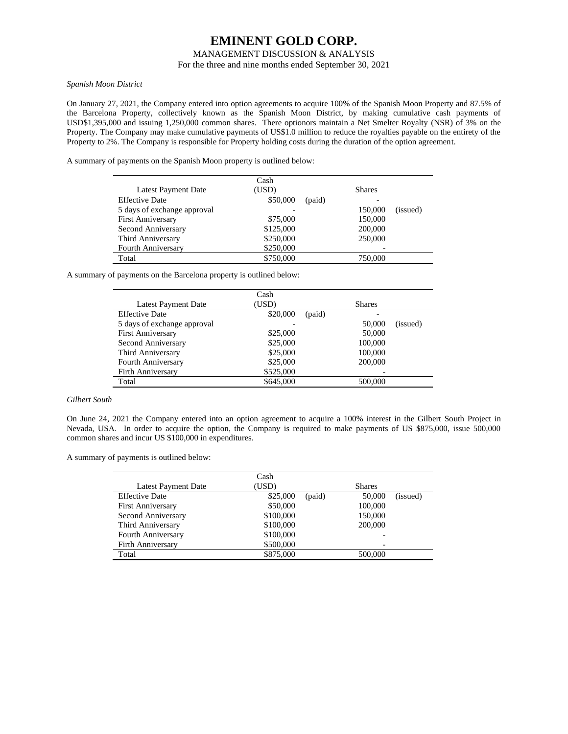## MANAGEMENT DISCUSSION & ANALYSIS

For the three and nine months ended September 30, 2021

### *Spanish Moon District*

On January 27, 2021, the Company entered into option agreements to acquire 100% of the Spanish Moon Property and 87.5% of the Barcelona Property, collectively known as the Spanish Moon District, by making cumulative cash payments of USD\$1,395,000 and issuing 1,250,000 common shares. There optionors maintain a Net Smelter Royalty (NSR) of 3% on the Property. The Company may make cumulative payments of US\$1.0 million to reduce the royalties payable on the entirety of the Property to 2%. The Company is responsible for Property holding costs during the duration of the option agreement.

A summary of payments on the Spanish Moon property is outlined below:

|                             | Cash      |                     |
|-----------------------------|-----------|---------------------|
| Latest Payment Date         | (USD)     | <b>Shares</b>       |
| <b>Effective Date</b>       | \$50,000  | (paid)              |
| 5 days of exchange approval |           | 150,000<br>(issued) |
| <b>First Anniversary</b>    | \$75,000  | 150,000             |
| Second Anniversary          | \$125,000 | 200,000             |
| Third Anniversary           | \$250,000 | 250,000             |
| <b>Fourth Anniversary</b>   | \$250,000 |                     |
| Total                       | \$750,000 | 750,000             |

A summary of payments on the Barcelona property is outlined below:

|                             | Cash      |        |               |          |
|-----------------------------|-----------|--------|---------------|----------|
| Latest Payment Date         | (USD)     |        | <b>Shares</b> |          |
| <b>Effective Date</b>       | \$20,000  | (paid) |               |          |
| 5 days of exchange approval |           |        | 50,000        | (issued) |
| <b>First Anniversary</b>    | \$25,000  |        | 50,000        |          |
| Second Anniversary          | \$25,000  |        | 100,000       |          |
| Third Anniversary           | \$25,000  |        | 100,000       |          |
| Fourth Anniversary          | \$25,000  |        | 200,000       |          |
| Firth Anniversary           | \$525,000 |        |               |          |
| Total                       | \$645,000 |        | 500,000       |          |
|                             |           |        |               |          |

### *Gilbert South*

On June 24, 2021 the Company entered into an option agreement to acquire a 100% interest in the Gilbert South Project in Nevada, USA. In order to acquire the option, the Company is required to make payments of US \$875,000, issue 500,000 common shares and incur US \$100,000 in expenditures.

A summary of payments is outlined below:

|                            | Cash      |        |               |          |
|----------------------------|-----------|--------|---------------|----------|
| <b>Latest Payment Date</b> | (USD)     |        | <b>Shares</b> |          |
| <b>Effective Date</b>      | \$25,000  | (paid) | 50,000        | (issued) |
| <b>First Anniversary</b>   | \$50,000  |        | 100,000       |          |
| Second Anniversary         | \$100,000 |        | 150,000       |          |
| Third Anniversary          | \$100,000 |        | 200,000       |          |
| Fourth Anniversary         | \$100,000 |        |               |          |
| <b>Firth Anniversary</b>   | \$500,000 |        |               |          |
| Total                      | \$875,000 |        | 500,000       |          |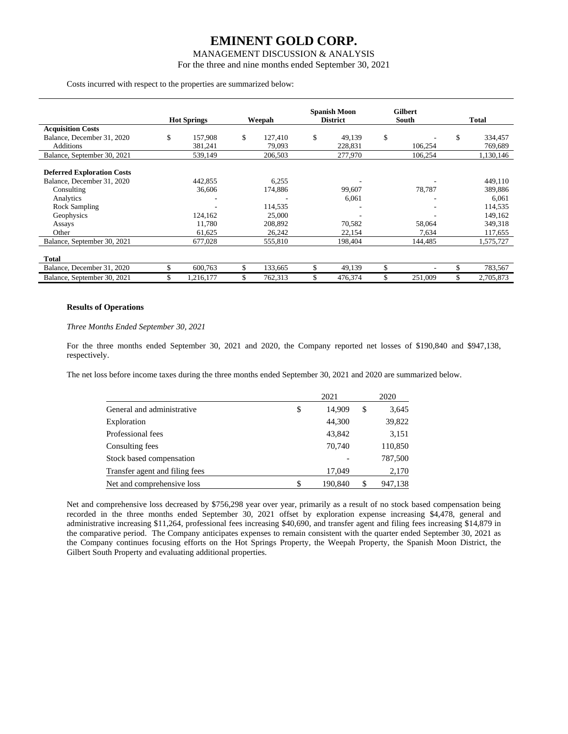## MANAGEMENT DISCUSSION & ANALYSIS

For the three and nine months ended September 30, 2021

#### Costs incurred with respect to the properties are summarized below:

|                                                                                                                                            | <b>Hot Springs</b>                     | Weepah                                           | <b>Spanish Moon</b><br><b>District</b> | <b>Gilbert</b><br>South | Total                                                        |
|--------------------------------------------------------------------------------------------------------------------------------------------|----------------------------------------|--------------------------------------------------|----------------------------------------|-------------------------|--------------------------------------------------------------|
| <b>Acquisition Costs</b>                                                                                                                   |                                        |                                                  |                                        |                         |                                                              |
| Balance, December 31, 2020                                                                                                                 | \$<br>157,908                          | \$<br>127.410                                    | \$<br>49,139                           | \$                      | \$<br>334,457                                                |
| Additions                                                                                                                                  | 381,241                                | 79,093                                           | 228,831                                | 106,254                 | 769,689                                                      |
| Balance, September 30, 2021                                                                                                                | 539,149                                | 206,503                                          | 277,970                                | 106,254                 | 1,130,146                                                    |
| <b>Deferred Exploration Costs</b><br>Balance, December 31, 2020<br>Consulting<br>Analytics<br><b>Rock Sampling</b><br>Geophysics<br>Assays | 442,855<br>36,606<br>124,162<br>11,780 | 6,255<br>174,886<br>114,535<br>25,000<br>208,892 | 99,607<br>6,061<br>70,582              | 78,787<br>58,064        | 449,110<br>389,886<br>6,061<br>114,535<br>149,162<br>349,318 |
| Other                                                                                                                                      | 61,625                                 | 26,242                                           | 22,154                                 | 7,634                   | 117,655                                                      |
| Balance, September 30, 2021                                                                                                                | 677,028                                | 555,810                                          | 198,404                                | 144,485                 | 1,575,727                                                    |
| <b>Total</b>                                                                                                                               |                                        |                                                  |                                        |                         |                                                              |
| Balance, December 31, 2020                                                                                                                 | \$<br>600,763                          | \$<br>133,665                                    | \$<br>49,139                           | \$                      | \$<br>783,567                                                |
| Balance, September 30, 2021                                                                                                                | \$<br>1,216,177                        | \$<br>762,313                                    | \$<br>476,374                          | \$<br>251,009           | \$<br>2,705,873                                              |

#### **Results of Operations**

#### *Three Months Ended September 30, 2021*

For the three months ended September 30, 2021 and 2020, the Company reported net losses of \$190,840 and \$947,138, respectively.

The net loss before income taxes during the three months ended September 30, 2021 and 2020 are summarized below.

|                                | 2021          |    | 2020    |
|--------------------------------|---------------|----|---------|
| General and administrative     | \$<br>14,909  | \$ | 3,645   |
| Exploration                    | 44,300        |    | 39,822  |
| Professional fees              | 43,842        |    | 3,151   |
| Consulting fees                | 70,740        |    | 110,850 |
| Stock based compensation       |               |    | 787,500 |
| Transfer agent and filing fees | 17,049        |    | 2,170   |
| Net and comprehensive loss     | \$<br>190,840 | S  | 947,138 |

Net and comprehensive loss decreased by \$756,298 year over year, primarily as a result of no stock based compensation being recorded in the three months ended September 30, 2021 offset by exploration expense increasing \$4,478, general and administrative increasing \$11,264, professional fees increasing \$40,690, and transfer agent and filing fees increasing \$14,879 in the comparative period. The Company anticipates expenses to remain consistent with the quarter ended September 30, 2021 as the Company continues focusing efforts on the Hot Springs Property, the Weepah Property, the Spanish Moon District, the Gilbert South Property and evaluating additional properties.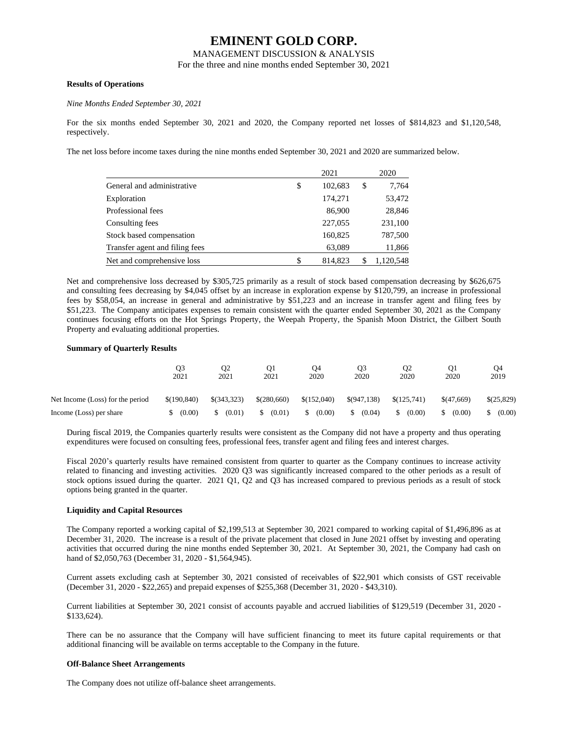MANAGEMENT DISCUSSION & ANALYSIS

For the three and nine months ended September 30, 2021

## **Results of Operations**

#### *Nine Months Ended September 30, 2021*

For the six months ended September 30, 2021 and 2020, the Company reported net losses of \$814,823 and \$1,120,548, respectively.

The net loss before income taxes during the nine months ended September 30, 2021 and 2020 are summarized below.

|                                | 2021          | 2020        |
|--------------------------------|---------------|-------------|
| General and administrative     | \$<br>102,683 | \$<br>7,764 |
| Exploration                    | 174,271       | 53,472      |
| Professional fees              | 86,900        | 28,846      |
| Consulting fees                | 227,055       | 231,100     |
| Stock based compensation       | 160,825       | 787,500     |
| Transfer agent and filing fees | 63,089        | 11,866      |
| Net and comprehensive loss     | 814.823       | 1.120.548   |

Net and comprehensive loss decreased by \$305,725 primarily as a result of stock based compensation decreasing by \$626,675 and consulting fees decreasing by \$4,045 offset by an increase in exploration expense by \$120,799, an increase in professional fees by \$58,054, an increase in general and administrative by \$51,223 and an increase in transfer agent and filing fees by \$51,223. The Company anticipates expenses to remain consistent with the quarter ended September 30, 2021 as the Company continues focusing efforts on the Hot Springs Property, the Weepah Property, the Spanish Moon District, the Gilbert South Property and evaluating additional properties.

#### **Summary of Quarterly Results**

|                                  | O3<br>2021  | Ο2<br>2021  | O1<br>2021      | O4<br>2020   | O3<br>2020  | Ο2<br>2020  | Q1<br>2020 | Ο4<br>2019 |
|----------------------------------|-------------|-------------|-----------------|--------------|-------------|-------------|------------|------------|
| Net Income (Loss) for the period | \$(190.840) | \$(343,323) | $$^{(280,660)}$ | \$(152,040)  | \$(947,138) | \$(125,741) | \$(47,669) | \$(25,829) |
| Income (Loss) per share          | (0.00)      | (0.01)      | (0.01)          | (0.00)<br>S. | (0.04)<br>S | (0.00)      | (0.00)     | (0.00)     |

During fiscal 2019, the Companies quarterly results were consistent as the Company did not have a property and thus operating expenditures were focused on consulting fees, professional fees, transfer agent and filing fees and interest charges.

Fiscal 2020's quarterly results have remained consistent from quarter to quarter as the Company continues to increase activity related to financing and investing activities. 2020 Q3 was significantly increased compared to the other periods as a result of stock options issued during the quarter. 2021 Q1, Q2 and Q3 has increased compared to previous periods as a result of stock options being granted in the quarter.

## **Liquidity and Capital Resources**

The Company reported a working capital of \$2,199,513 at September 30, 2021 compared to working capital of \$1,496,896 as at December 31, 2020. The increase is a result of the private placement that closed in June 2021 offset by investing and operating activities that occurred during the nine months ended September 30, 2021. At September 30, 2021, the Company had cash on hand of \$2,050,763 (December 31, 2020 - \$1,564,945).

Current assets excluding cash at September 30, 2021 consisted of receivables of \$22,901 which consists of GST receivable (December 31, 2020 - \$22,265) and prepaid expenses of \$255,368 (December 31, 2020 - \$43,310).

Current liabilities at September 30, 2021 consist of accounts payable and accrued liabilities of \$129,519 (December 31, 2020 - \$133,624).

There can be no assurance that the Company will have sufficient financing to meet its future capital requirements or that additional financing will be available on terms acceptable to the Company in the future.

## **Off-Balance Sheet Arrangements**

The Company does not utilize off-balance sheet arrangements.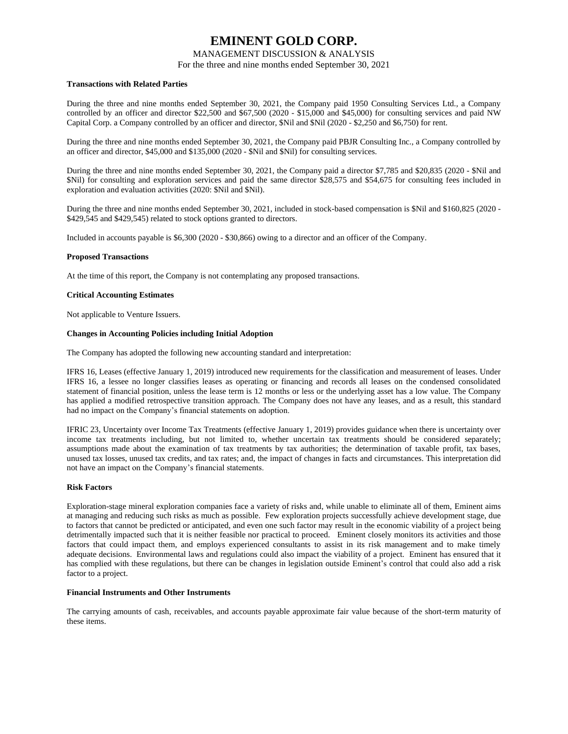## MANAGEMENT DISCUSSION & ANALYSIS

For the three and nine months ended September 30, 2021

## **Transactions with Related Parties**

During the three and nine months ended September 30, 2021, the Company paid 1950 Consulting Services Ltd., a Company controlled by an officer and director \$22,500 and \$67,500 (2020 - \$15,000 and \$45,000) for consulting services and paid NW Capital Corp. a Company controlled by an officer and director, \$Nil and \$Nil (2020 - \$2,250 and \$6,750) for rent.

During the three and nine months ended September 30, 2021, the Company paid PBJR Consulting Inc., a Company controlled by an officer and director, \$45,000 and \$135,000 (2020 - \$Nil and \$Nil) for consulting services.

During the three and nine months ended September 30, 2021, the Company paid a director \$7,785 and \$20,835 (2020 - \$Nil and \$Nil) for consulting and exploration services and paid the same director \$28,575 and \$54,675 for consulting fees included in exploration and evaluation activities (2020: \$Nil and \$Nil).

During the three and nine months ended September 30, 2021, included in stock-based compensation is \$Nil and \$160,825 (2020 - \$429,545 and \$429,545) related to stock options granted to directors.

Included in accounts payable is \$6,300 (2020 - \$30,866) owing to a director and an officer of the Company.

## **Proposed Transactions**

At the time of this report, the Company is not contemplating any proposed transactions.

## **Critical Accounting Estimates**

Not applicable to Venture Issuers.

## **Changes in Accounting Policies including Initial Adoption**

The Company has adopted the following new accounting standard and interpretation:

IFRS 16, Leases (effective January 1, 2019) introduced new requirements for the classification and measurement of leases. Under IFRS 16, a lessee no longer classifies leases as operating or financing and records all leases on the condensed consolidated statement of financial position, unless the lease term is 12 months or less or the underlying asset has a low value. The Company has applied a modified retrospective transition approach. The Company does not have any leases, and as a result, this standard had no impact on the Company's financial statements on adoption.

IFRIC 23, Uncertainty over Income Tax Treatments (effective January 1, 2019) provides guidance when there is uncertainty over income tax treatments including, but not limited to, whether uncertain tax treatments should be considered separately; assumptions made about the examination of tax treatments by tax authorities; the determination of taxable profit, tax bases, unused tax losses, unused tax credits, and tax rates; and, the impact of changes in facts and circumstances. This interpretation did not have an impact on the Company's financial statements.

#### **Risk Factors**

Exploration-stage mineral exploration companies face a variety of risks and, while unable to eliminate all of them, Eminent aims at managing and reducing such risks as much as possible. Few exploration projects successfully achieve development stage, due to factors that cannot be predicted or anticipated, and even one such factor may result in the economic viability of a project being detrimentally impacted such that it is neither feasible nor practical to proceed. Eminent closely monitors its activities and those factors that could impact them, and employs experienced consultants to assist in its risk management and to make timely adequate decisions. Environmental laws and regulations could also impact the viability of a project. Eminent has ensured that it has complied with these regulations, but there can be changes in legislation outside Eminent's control that could also add a risk factor to a project.

#### **Financial Instruments and Other Instruments**

The carrying amounts of cash, receivables, and accounts payable approximate fair value because of the short-term maturity of these items.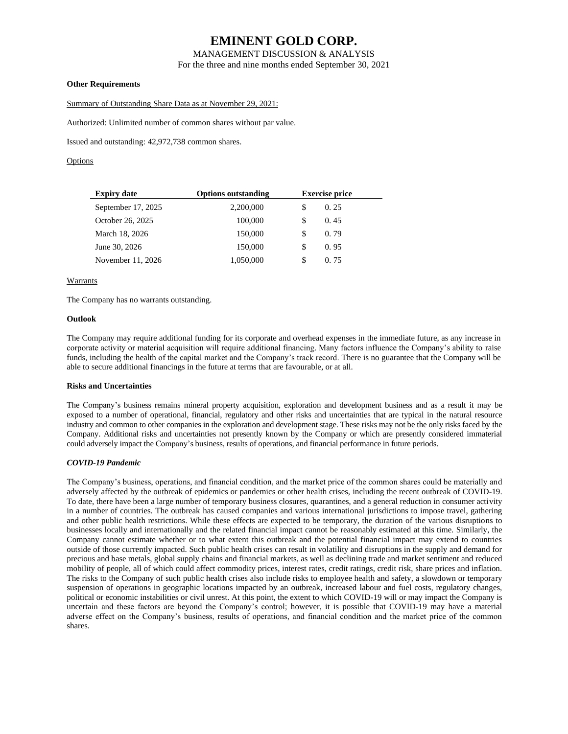## MANAGEMENT DISCUSSION & ANALYSIS

For the three and nine months ended September 30, 2021

## **Other Requirements**

Summary of Outstanding Share Data as at November 29, 2021:

Authorized: Unlimited number of common shares without par value.

Issued and outstanding: 42,972,738 common shares.

## **Options**

| <b>Expiry date</b> | <b>Options outstanding</b> |    | <b>Exercise price</b> |  |  |
|--------------------|----------------------------|----|-----------------------|--|--|
| September 17, 2025 | 2,200,000                  | S  | 0.25                  |  |  |
| October 26, 2025   | 100,000                    | \$ | 0.45                  |  |  |
| March 18, 2026     | 150,000                    | \$ | 0.79                  |  |  |
| June 30, 2026      | 150,000                    | \$ | 0.95                  |  |  |
| November 11, 2026  | 1,050,000                  | \$ | 0.75                  |  |  |

## **Warrants**

The Company has no warrants outstanding.

## **Outlook**

The Company may require additional funding for its corporate and overhead expenses in the immediate future, as any increase in corporate activity or material acquisition will require additional financing. Many factors influence the Company's ability to raise funds, including the health of the capital market and the Company's track record. There is no guarantee that the Company will be able to secure additional financings in the future at terms that are favourable, or at all.

#### **Risks and Uncertainties**

The Company's business remains mineral property acquisition, exploration and development business and as a result it may be exposed to a number of operational, financial, regulatory and other risks and uncertainties that are typical in the natural resource industry and common to other companies in the exploration and development stage. These risks may not be the only risks faced by the Company. Additional risks and uncertainties not presently known by the Company or which are presently considered immaterial could adversely impact the Company's business, results of operations, and financial performance in future periods.

#### *COVID-19 Pandemic*

The Company's business, operations, and financial condition, and the market price of the common shares could be materially and adversely affected by the outbreak of epidemics or pandemics or other health crises, including the recent outbreak of COVID-19. To date, there have been a large number of temporary business closures, quarantines, and a general reduction in consumer activity in a number of countries. The outbreak has caused companies and various international jurisdictions to impose travel, gathering and other public health restrictions. While these effects are expected to be temporary, the duration of the various disruptions to businesses locally and internationally and the related financial impact cannot be reasonably estimated at this time. Similarly, the Company cannot estimate whether or to what extent this outbreak and the potential financial impact may extend to countries outside of those currently impacted. Such public health crises can result in volatility and disruptions in the supply and demand for precious and base metals, global supply chains and financial markets, as well as declining trade and market sentiment and reduced mobility of people, all of which could affect commodity prices, interest rates, credit ratings, credit risk, share prices and inflation. The risks to the Company of such public health crises also include risks to employee health and safety, a slowdown or temporary suspension of operations in geographic locations impacted by an outbreak, increased labour and fuel costs, regulatory changes, political or economic instabilities or civil unrest. At this point, the extent to which COVID-19 will or may impact the Company is uncertain and these factors are beyond the Company's control; however, it is possible that COVID-19 may have a material adverse effect on the Company's business, results of operations, and financial condition and the market price of the common shares.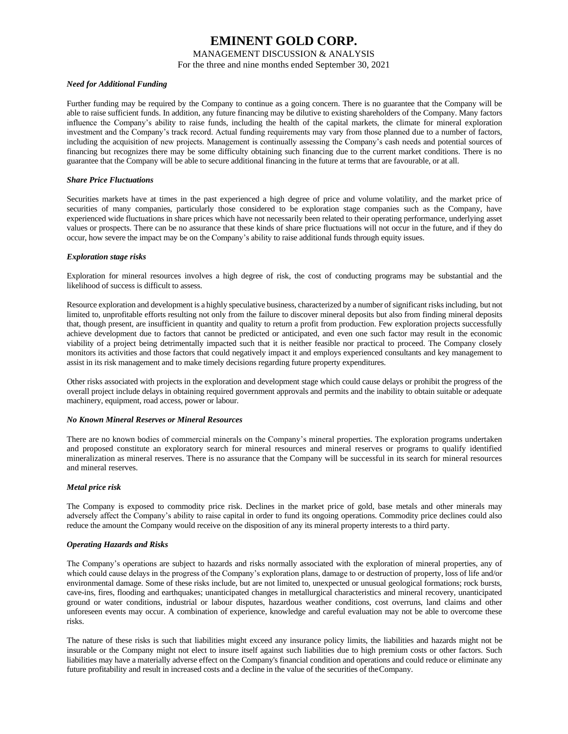## MANAGEMENT DISCUSSION & ANALYSIS

For the three and nine months ended September 30, 2021

#### *Need for Additional Funding*

Further funding may be required by the Company to continue as a going concern. There is no guarantee that the Company will be able to raise sufficient funds. In addition, any future financing may be dilutive to existing shareholders of the Company. Many factors influence the Company's ability to raise funds, including the health of the capital markets, the climate for mineral exploration investment and the Company's track record. Actual funding requirements may vary from those planned due to a number of factors, including the acquisition of new projects. Management is continually assessing the Company's cash needs and potential sources of financing but recognizes there may be some difficulty obtaining such financing due to the current market conditions. There is no guarantee that the Company will be able to secure additional financing in the future at terms that are favourable, or at all.

#### *Share Price Fluctuations*

Securities markets have at times in the past experienced a high degree of price and volume volatility, and the market price of securities of many companies, particularly those considered to be exploration stage companies such as the Company, have experienced wide fluctuations in share prices which have not necessarily been related to their operating performance, underlying asset values or prospects. There can be no assurance that these kinds of share price fluctuations will not occur in the future, and if they do occur, how severe the impact may be on the Company's ability to raise additional funds through equity issues.

## *Exploration stage risks*

Exploration for mineral resources involves a high degree of risk, the cost of conducting programs may be substantial and the likelihood of success is difficult to assess.

Resource exploration and development is a highly speculative business, characterized by a number of significant risks including, but not limited to, unprofitable efforts resulting not only from the failure to discover mineral deposits but also from finding mineral deposits that, though present, are insufficient in quantity and quality to return a profit from production. Few exploration projects successfully achieve development due to factors that cannot be predicted or anticipated, and even one such factor may result in the economic viability of a project being detrimentally impacted such that it is neither feasible nor practical to proceed. The Company closely monitors its activities and those factors that could negatively impact it and employs experienced consultants and key management to assist in its risk management and to make timely decisions regarding future property expenditures.

Other risks associated with projects in the exploration and development stage which could cause delays or prohibit the progress of the overall project include delays in obtaining required government approvals and permits and the inability to obtain suitable or adequate machinery, equipment, road access, power or labour.

#### *No Known Mineral Reserves or Mineral Resources*

There are no known bodies of commercial minerals on the Company's mineral properties. The exploration programs undertaken and proposed constitute an exploratory search for mineral resources and mineral reserves or programs to qualify identified mineralization as mineral reserves. There is no assurance that the Company will be successful in its search for mineral resources and mineral reserves.

#### *Metal price risk*

The Company is exposed to commodity price risk. Declines in the market price of gold, base metals and other minerals may adversely affect the Company's ability to raise capital in order to fund its ongoing operations. Commodity price declines could also reduce the amount the Company would receive on the disposition of any its mineral property interests to a third party.

#### *Operating Hazards and Risks*

The Company's operations are subject to hazards and risks normally associated with the exploration of mineral properties, any of which could cause delays in the progress of the Company's exploration plans, damage to or destruction of property, loss of life and/or environmental damage. Some of these risks include, but are not limited to, unexpected or unusual geological formations; rock bursts, cave-ins, fires, flooding and earthquakes; unanticipated changes in metallurgical characteristics and mineral recovery, unanticipated ground or water conditions, industrial or labour disputes, hazardous weather conditions, cost overruns, land claims and other unforeseen events may occur. A combination of experience, knowledge and careful evaluation may not be able to overcome these risks.

The nature of these risks is such that liabilities might exceed any insurance policy limits, the liabilities and hazards might not be insurable or the Company might not elect to insure itself against such liabilities due to high premium costs or other factors. Such liabilities may have a materially adverse effect on the Company's financial condition and operations and could reduce or eliminate any future profitability and result in increased costs and a decline in the value of the securities of theCompany.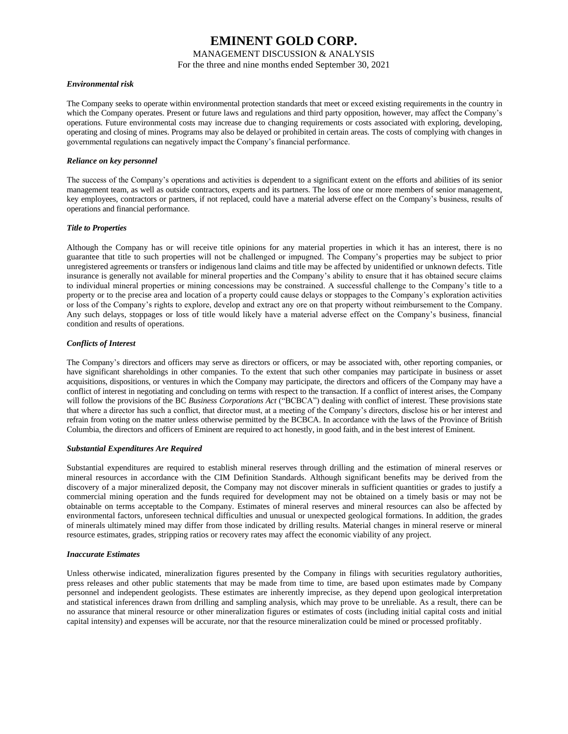## MANAGEMENT DISCUSSION & ANALYSIS

For the three and nine months ended September 30, 2021

## *Environmental risk*

The Company seeks to operate within environmental protection standards that meet or exceed existing requirements in the country in which the Company operates. Present or future laws and regulations and third party opposition, however, may affect the Company's operations. Future environmental costs may increase due to changing requirements or costs associated with exploring, developing, operating and closing of mines. Programs may also be delayed or prohibited in certain areas. The costs of complying with changes in governmental regulations can negatively impact the Company's financial performance.

## *Reliance on key personnel*

The success of the Company's operations and activities is dependent to a significant extent on the efforts and abilities of its senior management team, as well as outside contractors, experts and its partners. The loss of one or more members of senior management, key employees, contractors or partners, if not replaced, could have a material adverse effect on the Company's business, results of operations and financial performance.

## *Title to Properties*

Although the Company has or will receive title opinions for any material properties in which it has an interest, there is no guarantee that title to such properties will not be challenged or impugned. The Company's properties may be subject to prior unregistered agreements or transfers or indigenous land claims and title may be affected by unidentified or unknown defects. Title insurance is generally not available for mineral properties and the Company's ability to ensure that it has obtained secure claims to individual mineral properties or mining concessions may be constrained. A successful challenge to the Company's title to a property or to the precise area and location of a property could cause delays or stoppages to the Company's exploration activities or loss of the Company's rights to explore, develop and extract any ore on that property without reimbursement to the Company. Any such delays, stoppages or loss of title would likely have a material adverse effect on the Company's business, financial condition and results of operations.

## *Conflicts of Interest*

The Company's directors and officers may serve as directors or officers, or may be associated with, other reporting companies, or have significant shareholdings in other companies. To the extent that such other companies may participate in business or asset acquisitions, dispositions, or ventures in which the Company may participate, the directors and officers of the Company may have a conflict of interest in negotiating and concluding on terms with respect to the transaction. If a conflict of interest arises, the Company will follow the provisions of the BC *Business Corporations Act* ("BCBCA") dealing with conflict of interest. These provisions state that where a director has such a conflict, that director must, at a meeting of the Company's directors, disclose his or her interest and refrain from voting on the matter unless otherwise permitted by the BCBCA. In accordance with the laws of the Province of British Columbia, the directors and officers of Eminent are required to act honestly, in good faith, and in the best interest of Eminent.

#### *Substantial Expenditures Are Required*

Substantial expenditures are required to establish mineral reserves through drilling and the estimation of mineral reserves or mineral resources in accordance with the CIM Definition Standards. Although significant benefits may be derived from the discovery of a major mineralized deposit, the Company may not discover minerals in sufficient quantities or grades to justify a commercial mining operation and the funds required for development may not be obtained on a timely basis or may not be obtainable on terms acceptable to the Company. Estimates of mineral reserves and mineral resources can also be affected by environmental factors, unforeseen technical difficulties and unusual or unexpected geological formations. In addition, the grades of minerals ultimately mined may differ from those indicated by drilling results. Material changes in mineral reserve or mineral resource estimates, grades, stripping ratios or recovery rates may affect the economic viability of any project.

#### *Inaccurate Estimates*

Unless otherwise indicated, mineralization figures presented by the Company in filings with securities regulatory authorities, press releases and other public statements that may be made from time to time, are based upon estimates made by Company personnel and independent geologists. These estimates are inherently imprecise, as they depend upon geological interpretation and statistical inferences drawn from drilling and sampling analysis, which may prove to be unreliable. As a result, there can be no assurance that mineral resource or other mineralization figures or estimates of costs (including initial capital costs and initial capital intensity) and expenses will be accurate, nor that the resource mineralization could be mined or processed profitably.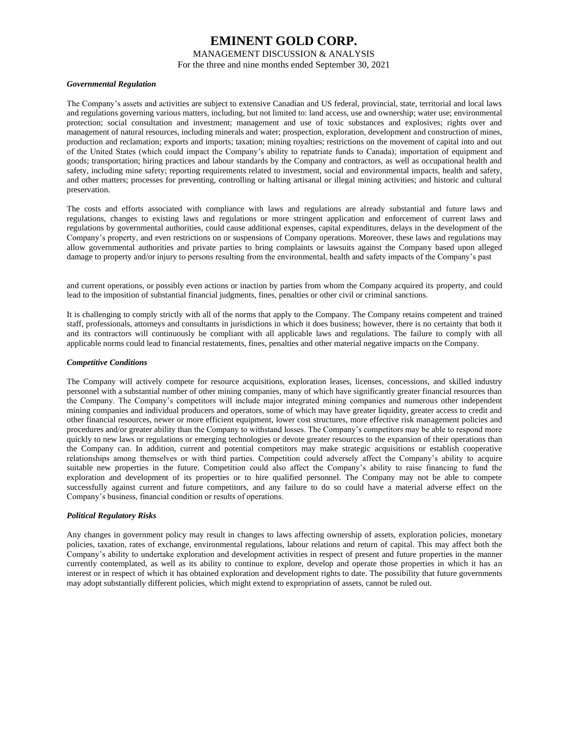## MANAGEMENT DISCUSSION & ANALYSIS

For the three and nine months ended September 30, 2021

#### *Governmental Regulation*

The Company's assets and activities are subject to extensive Canadian and US federal, provincial, state, territorial and local laws and regulations governing various matters, including, but not limited to: land access, use and ownership; water use; environmental protection; social consultation and investment; management and use of toxic substances and explosives; rights over and management of natural resources, including minerals and water; prospection, exploration, development and construction of mines, production and reclamation; exports and imports; taxation; mining royalties; restrictions on the movement of capital into and out of the United States (which could impact the Company's ability to repatriate funds to Canada); importation of equipment and goods; transportation; hiring practices and labour standards by the Company and contractors, as well as occupational health and safety, including mine safety; reporting requirements related to investment, social and environmental impacts, health and safety, and other matters; processes for preventing, controlling or halting artisanal or illegal mining activities; and historic and cultural preservation.

The costs and efforts associated with compliance with laws and regulations are already substantial and future laws and regulations, changes to existing laws and regulations or more stringent application and enforcement of current laws and regulations by governmental authorities, could cause additional expenses, capital expenditures, delays in the development of the Company's property, and even restrictions on or suspensions of Company operations. Moreover, these laws and regulations may allow governmental authorities and private parties to bring complaints or lawsuits against the Company based upon alleged damage to property and/or injury to persons resulting from the environmental, health and safety impacts of the Company's past

and current operations, or possibly even actions or inaction by parties from whom the Company acquired its property, and could lead to the imposition of substantial financial judgments, fines, penalties or other civil or criminal sanctions.

It is challenging to comply strictly with all of the norms that apply to the Company. The Company retains competent and trained staff, professionals, attorneys and consultants in jurisdictions in which it does business; however, there is no certainty that both it and its contractors will continuously be compliant with all applicable laws and regulations. The failure to comply with all applicable norms could lead to financial restatements, fines, penalties and other material negative impacts on the Company.

#### *Competitive Conditions*

The Company will actively compete for resource acquisitions, exploration leases, licenses, concessions, and skilled industry personnel with a substantial number of other mining companies, many of which have significantly greater financial resources than the Company. The Company's competitors will include major integrated mining companies and numerous other independent mining companies and individual producers and operators, some of which may have greater liquidity, greater access to credit and other financial resources, newer or more efficient equipment, lower cost structures, more effective risk management policies and procedures and/or greater ability than the Company to withstand losses. The Company's competitors may be able to respond more quickly to new laws or regulations or emerging technologies or devote greater resources to the expansion of their operations than the Company can. In addition, current and potential competitors may make strategic acquisitions or establish cooperative relationships among themselves or with third parties. Competition could adversely affect the Company's ability to acquire suitable new properties in the future. Competition could also affect the Company's ability to raise financing to fund the exploration and development of its properties or to hire qualified personnel. The Company may not be able to compete successfully against current and future competitors, and any failure to do so could have a material adverse effect on the Company's business, financial condition or results of operations.

### *Political Regulatory Risks*

Any changes in government policy may result in changes to laws affecting ownership of assets, exploration policies, monetary policies, taxation, rates of exchange, environmental regulations, labour relations and return of capital. This may affect both the Company's ability to undertake exploration and development activities in respect of present and future properties in the manner currently contemplated, as well as its ability to continue to explore, develop and operate those properties in which it has an interest or in respect of which it has obtained exploration and development rights to date. The possibility that future governments may adopt substantially different policies, which might extend to expropriation of assets, cannot be ruled out.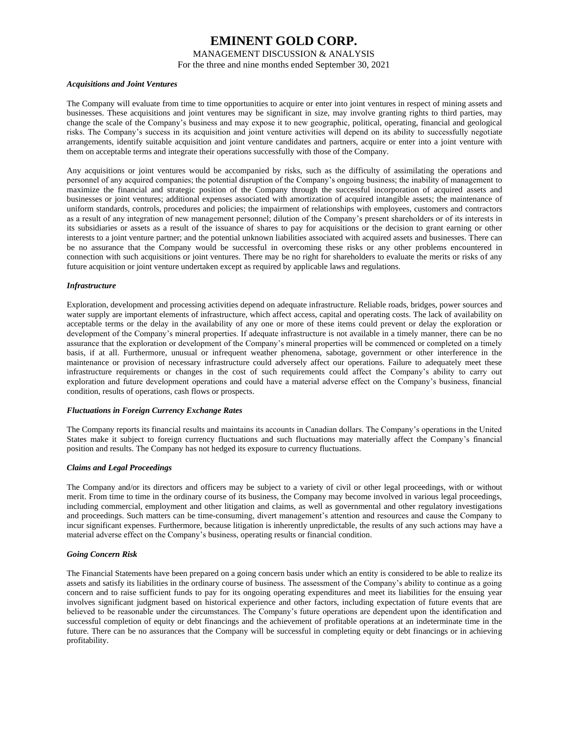### MANAGEMENT DISCUSSION & ANALYSIS

For the three and nine months ended September 30, 2021

#### *Acquisitions and Joint Ventures*

The Company will evaluate from time to time opportunities to acquire or enter into joint ventures in respect of mining assets and businesses. These acquisitions and joint ventures may be significant in size, may involve granting rights to third parties, may change the scale of the Company's business and may expose it to new geographic, political, operating, financial and geological risks. The Company's success in its acquisition and joint venture activities will depend on its ability to successfully negotiate arrangements, identify suitable acquisition and joint venture candidates and partners, acquire or enter into a joint venture with them on acceptable terms and integrate their operations successfully with those of the Company.

Any acquisitions or joint ventures would be accompanied by risks, such as the difficulty of assimilating the operations and personnel of any acquired companies; the potential disruption of the Company's ongoing business; the inability of management to maximize the financial and strategic position of the Company through the successful incorporation of acquired assets and businesses or joint ventures; additional expenses associated with amortization of acquired intangible assets; the maintenance of uniform standards, controls, procedures and policies; the impairment of relationships with employees, customers and contractors as a result of any integration of new management personnel; dilution of the Company's present shareholders or of its interests in its subsidiaries or assets as a result of the issuance of shares to pay for acquisitions or the decision to grant earning or other interests to a joint venture partner; and the potential unknown liabilities associated with acquired assets and businesses. There can be no assurance that the Company would be successful in overcoming these risks or any other problems encountered in connection with such acquisitions or joint ventures. There may be no right for shareholders to evaluate the merits or risks of any future acquisition or joint venture undertaken except as required by applicable laws and regulations.

## *Infrastructure*

Exploration, development and processing activities depend on adequate infrastructure. Reliable roads, bridges, power sources and water supply are important elements of infrastructure, which affect access, capital and operating costs. The lack of availability on acceptable terms or the delay in the availability of any one or more of these items could prevent or delay the exploration or development of the Company's mineral properties. If adequate infrastructure is not available in a timely manner, there can be no assurance that the exploration or development of the Company's mineral properties will be commenced or completed on a timely basis, if at all. Furthermore, unusual or infrequent weather phenomena, sabotage, government or other interference in the maintenance or provision of necessary infrastructure could adversely affect our operations. Failure to adequately meet these infrastructure requirements or changes in the cost of such requirements could affect the Company's ability to carry out exploration and future development operations and could have a material adverse effect on the Company's business, financial condition, results of operations, cash flows or prospects.

#### *Fluctuations in Foreign Currency Exchange Rates*

The Company reports its financial results and maintains its accounts in Canadian dollars. The Company's operations in the United States make it subject to foreign currency fluctuations and such fluctuations may materially affect the Company's financial position and results. The Company has not hedged its exposure to currency fluctuations.

#### *Claims and Legal Proceedings*

The Company and/or its directors and officers may be subject to a variety of civil or other legal proceedings, with or without merit. From time to time in the ordinary course of its business, the Company may become involved in various legal proceedings, including commercial, employment and other litigation and claims, as well as governmental and other regulatory investigations and proceedings. Such matters can be time-consuming, divert management's attention and resources and cause the Company to incur significant expenses. Furthermore, because litigation is inherently unpredictable, the results of any such actions may have a material adverse effect on the Company's business, operating results or financial condition.

#### *Going Concern Risk*

The Financial Statements have been prepared on a going concern basis under which an entity is considered to be able to realize its assets and satisfy its liabilities in the ordinary course of business. The assessment of the Company's ability to continue as a going concern and to raise sufficient funds to pay for its ongoing operating expenditures and meet its liabilities for the ensuing year involves significant judgment based on historical experience and other factors, including expectation of future events that are believed to be reasonable under the circumstances. The Company's future operations are dependent upon the identification and successful completion of equity or debt financings and the achievement of profitable operations at an indeterminate time in the future. There can be no assurances that the Company will be successful in completing equity or debt financings or in achieving profitability.